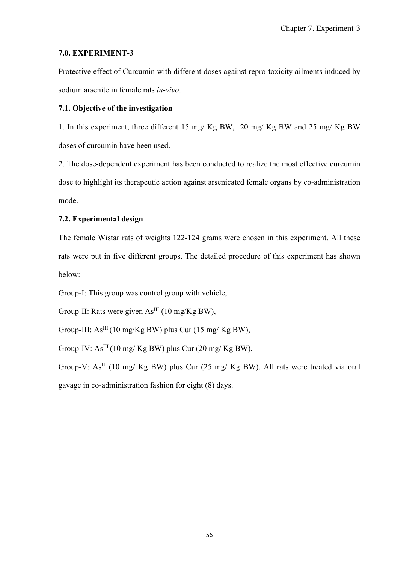# **7.0. EXPERIMENT-3**

Protective effect of Curcumin with different doses against repro-toxicity ailments induced by sodium arsenite in female rats *in-vivo*.

# **7.1. Objective of the investigation**

1. In this experiment, three different 15 mg/ Kg BW, 20 mg/ Kg BW and 25 mg/ Kg BW doses of curcumin have been used.

2. The dose-dependent experiment has been conducted to realize the most effective curcumin dose to highlight its therapeutic action against arsenicated female organs by co-administration mode.

# **7.2. Experimental design**

The female Wistar rats of weights 122-124 grams were chosen in this experiment. All these rats were put in five different groups. The detailed procedure of this experiment has shown below:

Group-I: This group was control group with vehicle,

Group-II: Rats were given  $As<sup>III</sup>$  (10 mg/Kg BW),

Group-III:  $As^{III}(10 \text{ mg/Kg BW})$  plus Cur (15 mg/ Kg BW),

Group-IV:  $As^{III}$  (10 mg/ Kg BW) plus Cur (20 mg/ Kg BW),

Group-V:  $As^{III}$  (10 mg/ Kg BW) plus Cur (25 mg/ Kg BW), All rats were treated via oral gavage in co-administration fashion for eight (8) days.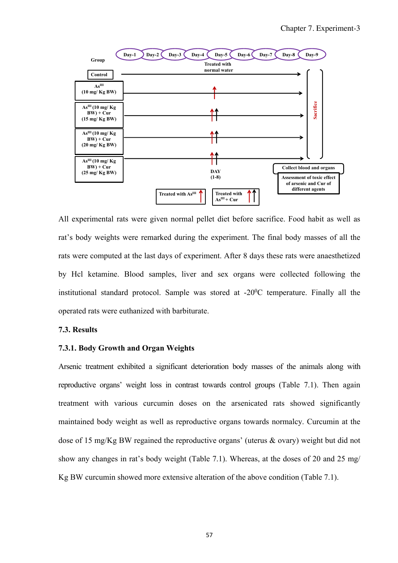

All experimental rats were given normal pellet diet before sacrifice. Food habit as well as rat's body weights were remarked during the experiment. The final body masses of all the rats were computed at the last days of experiment. After 8 days these rats were anaesthetized by Hcl ketamine. Blood samples, liver and sex organs were collected following the institutional standard protocol. Sample was stored at  $-20^0C$  temperature. Finally all the operated rats were euthanized with barbiturate.

## **7.3. Results**

## **7.3.1. Body Growth and Organ Weights**

Arsenic treatment exhibited a significant deterioration body masses of the animals along with reproductive organs' weight loss in contrast towards control groups (Table 7.1). Then again treatment with various curcumin doses on the arsenicated rats showed significantly maintained body weight as well as reproductive organs towards normalcy. Curcumin at the dose of 15 mg/Kg BW regained the reproductive organs' (uterus & ovary) weight but did not show any changes in rat's body weight (Table 7.1). Whereas, at the doses of 20 and 25 mg/ Kg BW curcumin showed more extensive alteration of the above condition (Table 7.1).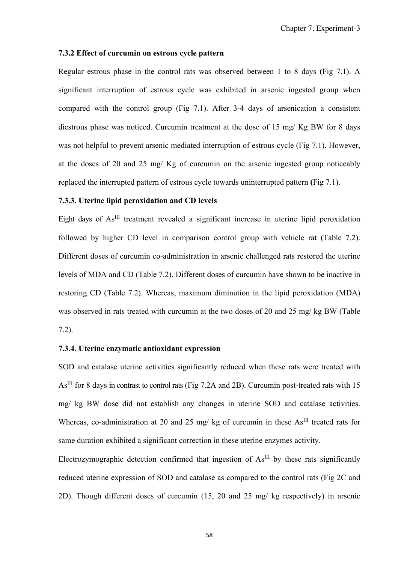#### **7.3.2 Effect of curcumin on estrous cycle pattern**

Regular estrous phase in the control rats was observed between 1 to 8 days **(**Fig 7.1). A significant interruption of estrous cycle was exhibited in arsenic ingested group when compared with the control group (Fig 7.1). After 3-4 days of arsenication a consistent diestrous phase was noticed. Curcumin treatment at the dose of 15 mg/ Kg BW for 8 days was not helpful to prevent arsenic mediated interruption of estrous cycle (Fig 7.1). However, at the doses of 20 and 25 mg/ Kg of curcumin on the arsenic ingested group noticeably replaced the interrupted pattern of estrous cycle towards uninterrupted pattern **(**Fig 7.1).

## **7.3.3. Uterine lipid peroxidation and CD levels**

Eight days of  $As<sup>III</sup>$  treatment revealed a significant increase in uterine lipid peroxidation followed by higher CD level in comparison control group with vehicle rat (Table 7.2). Different doses of curcumin co-administration in arsenic challenged rats restored the uterine levels of MDA and CD (Table 7.2). Different doses of curcumin have shown to be inactive in restoring CD (Table 7.2). Whereas, maximum diminution in the lipid peroxidation (MDA) was observed in rats treated with curcumin at the two doses of 20 and 25 mg/ kg BW (Table 7.2).

## **7.3.4. Uterine enzymatic antioxidant expression**

SOD and catalase uterine activities significantly reduced when these rats were treated with As<sup>III</sup> for 8 days in contrast to control rats (Fig 7.2A and 2B). Curcumin post-treated rats with 15 mg/ kg BW dose did not establish any changes in uterine SOD and catalase activities. Whereas, co-administration at 20 and 25 mg/ kg of curcumin in these  $As<sup>III</sup>$  treated rats for same duration exhibited a significant correction in these uterine enzymes activity.

Electrozymographic detection confirmed that ingestion of  $As<sup>III</sup>$  by these rats significantly reduced uterine expression of SOD and catalase as compared to the control rats (Fig 2C and 2D). Though different doses of curcumin (15, 20 and 25 mg/ kg respectively) in arsenic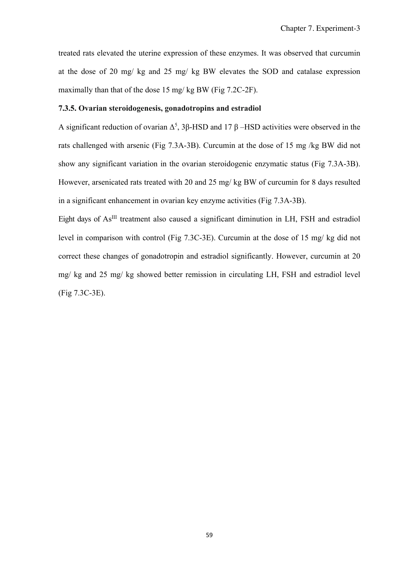treated rats elevated the uterine expression of these enzymes. It was observed that curcumin at the dose of 20 mg/ kg and 25 mg/ kg BW elevates the SOD and catalase expression maximally than that of the dose 15 mg/ kg BW (Fig 7.2C-2F).

## **7.3.5. Ovarian steroidogenesis, gonadotropins and estradiol**

A significant reduction of ovarian  $\Delta^5$ , 3 $\beta$ -HSD and 17  $\beta$  –HSD activities were observed in the rats challenged with arsenic (Fig 7.3A-3B). Curcumin at the dose of 15 mg /kg BW did not show any significant variation in the ovarian steroidogenic enzymatic status (Fig 7.3A-3B). However, arsenicated rats treated with 20 and 25 mg/ kg BW of curcumin for 8 days resulted in a significant enhancement in ovarian key enzyme activities (Fig 7.3A-3B).

Eight days of  $As<sup>III</sup>$  treatment also caused a significant diminution in LH, FSH and estradiol level in comparison with control (Fig 7.3C-3E). Curcumin at the dose of 15 mg/ kg did not correct these changes of gonadotropin and estradiol significantly. However, curcumin at 20 mg/ kg and 25 mg/ kg showed better remission in circulating LH, FSH and estradiol level (Fig 7.3C-3E).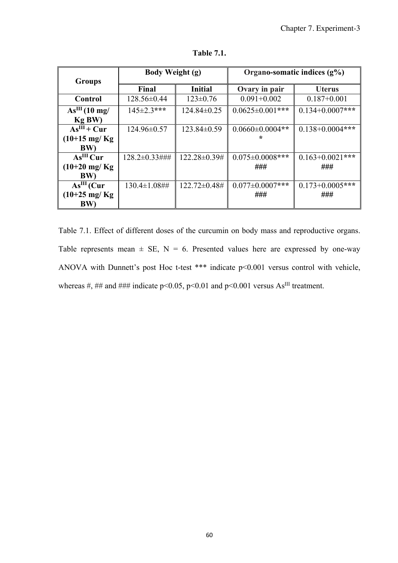| <b>Groups</b>             | Body Weight (g)     |                 | Organo-somatic indices $(g\%)$ |                      |  |
|---------------------------|---------------------|-----------------|--------------------------------|----------------------|--|
|                           | Final               | <b>Initial</b>  | Ovary in pair                  | <b>Uterus</b>        |  |
| Control                   | 128.56±0.44         | $123 \pm 0.76$  | $0.091 + 0.002$                | $0.187 + 0.001$      |  |
| As <sup>III</sup> (10 mg/ | $145 \pm 2.3$ ***   | $124.84\pm0.25$ | $0.0625 \pm 0.001$ ***         | $0.134 + 0.0007$ *** |  |
| Kg BW)                    |                     |                 |                                |                      |  |
| $As^{III}$ + Cur          | 124.96±0.57         | $123.84\pm0.59$ | $0.0660 \pm 0.0004$ **         | $0.138 + 0.0004$ *** |  |
| $(10+15 \text{ mg/Kg})$   |                     |                 |                                |                      |  |
| <b>BW)</b>                |                     |                 |                                |                      |  |
| As <sup>III</sup> Cur     | 128.2±0.33###       | 122.28±0.39#    | $0.075 \pm 0.0008$ ***         | $0.163 + 0.0021$ *** |  |
| $(10+20 \text{ mg/Kg})$   |                     |                 | ###                            | ###                  |  |
| <b>BW)</b>                |                     |                 |                                |                      |  |
| $AsIII$ (Cur              | $130.4 \pm 1.08$ ## | 122.72±0.48#    | $0.077 \pm 0.0007$ ***         | $0.173 + 0.0005$ *** |  |
| $(10+25 \text{ mg/Kg})$   |                     |                 | ###                            | ###                  |  |
| <b>BW)</b>                |                     |                 |                                |                      |  |

**Table 7.1.** 

Table 7.1. Effect of different doses of the curcumin on body mass and reproductive organs. Table represents mean  $\pm$  SE, N = 6. Presented values here are expressed by one-way ANOVA with Dunnett's post Hoc t-test \*\*\* indicate p<0.001 versus control with vehicle, whereas #, ## and ### indicate p<0.05, p<0.01 and p<0.001 versus As<sup>III</sup> treatment.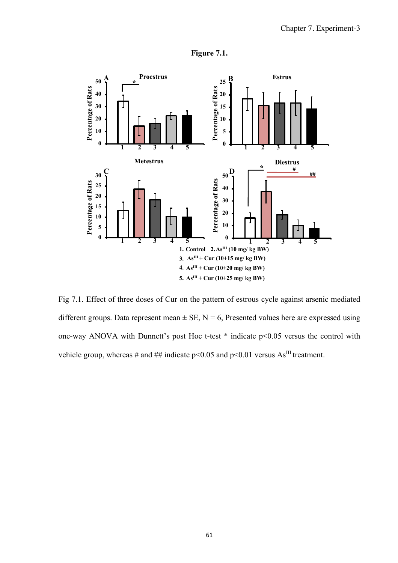

**Figure 7.1.** 

Fig 7.1. Effect of three doses of Cur on the pattern of estrous cycle against arsenic mediated different groups. Data represent mean  $\pm$  SE, N = 6, Presented values here are expressed using one-way ANOVA with Dunnett's post Hoc t-test \* indicate p<0.05 versus the control with vehicle group, whereas # and ## indicate  $p \le 0.05$  and  $p \le 0.01$  versus As<sup>III</sup> treatment.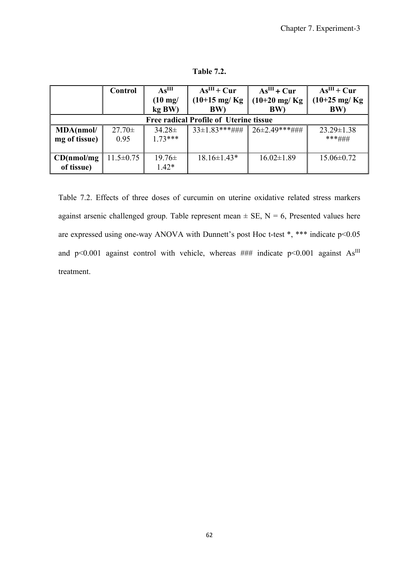**Table 7.2.** 

|                                               | Control         | As <sup>III</sup> | $AsIII + Cur$                  | $As^{III}$ + Cur        | $AsIII + Cur$           |  |  |  |
|-----------------------------------------------|-----------------|-------------------|--------------------------------|-------------------------|-------------------------|--|--|--|
|                                               |                 | $(10 \text{ mg}/$ | $(10+15 \text{ mg/Kg})$<br>BW) | $(10+20 \text{ mg/Kg})$ | $(10+25 \text{ mg/Kg})$ |  |  |  |
|                                               |                 | kg BW)            |                                | <b>BW</b>               | BW)                     |  |  |  |
| <b>Free radical Profile of Uterine tissue</b> |                 |                   |                                |                         |                         |  |  |  |
| MDA(nmol/                                     | $27.70 \pm$     | $34.28 \pm$       | $33\pm1.83$ ***###             | $26\pm2.49$ ***###      | $23.29 \pm 1.38$        |  |  |  |
| mg of tissue)                                 | 0.95            | $1.73***$         |                                |                         | ***###                  |  |  |  |
|                                               |                 |                   |                                |                         |                         |  |  |  |
| CD(mnol/mg)                                   | $11.5 \pm 0.75$ | $19.76\pm$        | $18.16 \pm 1.43*$              | $16.02 \pm 1.89$        | $15.06 \pm 0.72$        |  |  |  |
| of tissue)                                    |                 | $1.42*$           |                                |                         |                         |  |  |  |

Table 7.2. Effects of three doses of curcumin on uterine oxidative related stress markers against arsenic challenged group. Table represent mean  $\pm$  SE, N = 6, Presented values here are expressed using one-way ANOVA with Dunnett's post Hoc t-test \*, \*\*\* indicate p<0.05 and p<0.001 against control with vehicle, whereas  $\# \#$  indicate p<0.001 against As<sup>III</sup> treatment.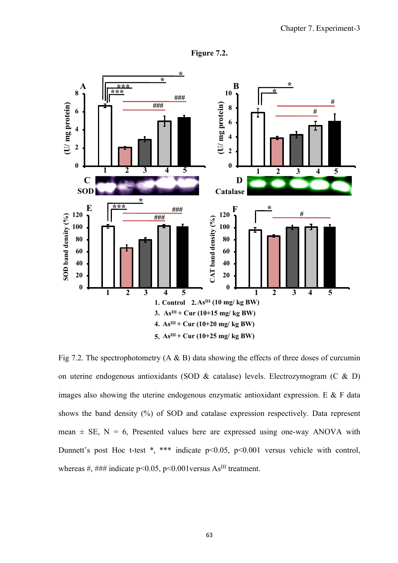



Fig 7.2. The spectrophotometry  $(A \& B)$  data showing the effects of three doses of curcumin on uterine endogenous antioxidants (SOD & catalase) levels. Electrozymogram (C & D) images also showing the uterine endogenous enzymatic antioxidant expression. E & F data shows the band density (%) of SOD and catalase expression respectively. Data represent mean  $\pm$  SE, N = 6, Presented values here are expressed using one-way ANOVA with Dunnett's post Hoc t-test \*, \*\*\* indicate  $p<0.05$ ,  $p<0.001$  versus vehicle with control, whereas #, ### indicate  $p \le 0.05$ ,  $p \le 0.001$  versus As<sup>III</sup> treatment.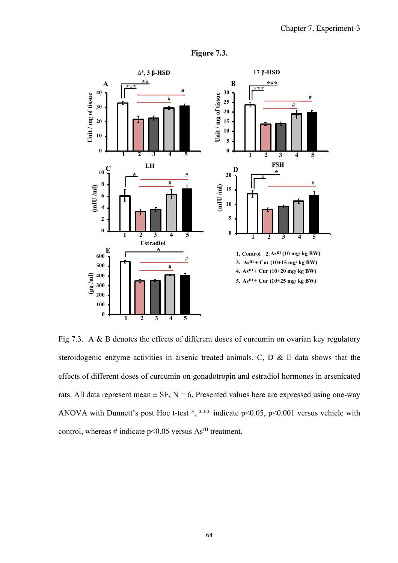

**Figure 7.3.** 

Fig 7.3. A & B denotes the effects of different doses of curcumin on ovarian key regulatory steroidogenic enzyme activities in arsenic treated animals. C, D & E data shows that the effects of different doses of curcumin on gonadotropin and estradiol hormones in arsenicated rats. All data represent mean  $\pm$  SE, N = 6, Presented values here are expressed using one-way ANOVA with Dunnett's post Hoc t-test \*, \*\*\* indicate  $p<0.05$ ,  $p<0.001$  versus vehicle with control, whereas # indicate  $p<0.05$  versus As<sup>III</sup> treatment.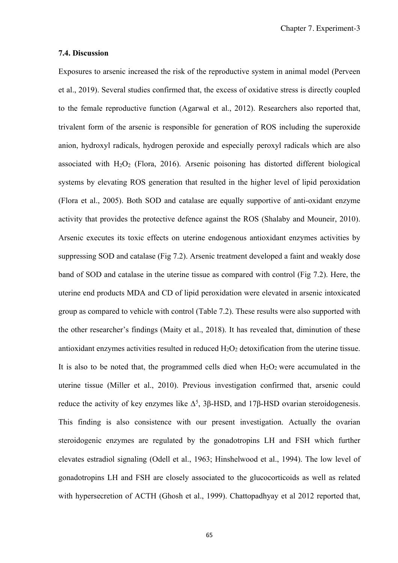#### **7.4. Discussion**

Exposures to arsenic increased the risk of the reproductive system in animal model (Perveen et al., 2019). Several studies confirmed that, the excess of oxidative stress is directly coupled to the female reproductive function (Agarwal et al., 2012). Researchers also reported that, trivalent form of the arsenic is responsible for generation of ROS including the superoxide anion, hydroxyl radicals, hydrogen peroxide and especially peroxyl radicals which are also associated with  $H_2O_2$  (Flora, 2016). Arsenic poisoning has distorted different biological systems by elevating ROS generation that resulted in the higher level of lipid peroxidation (Flora et al., 2005). Both SOD and catalase are equally supportive of anti-oxidant enzyme activity that provides the protective defence against the ROS (Shalaby and Mouneir, 2010). Arsenic executes its toxic effects on uterine endogenous antioxidant enzymes activities by suppressing SOD and catalase (Fig 7.2). Arsenic treatment developed a faint and weakly dose band of SOD and catalase in the uterine tissue as compared with control (Fig 7.2). Here, the uterine end products MDA and CD of lipid peroxidation were elevated in arsenic intoxicated group as compared to vehicle with control (Table 7.2). These results were also supported with the other researcher's findings (Maity et al., 2018). It has revealed that, diminution of these antioxidant enzymes activities resulted in reduced  $H_2O_2$  detoxification from the uterine tissue. It is also to be noted that, the programmed cells died when  $H_2O_2$  were accumulated in the uterine tissue (Miller et al., 2010). Previous investigation confirmed that, arsenic could reduce the activity of key enzymes like  $\Delta^5$ , 3β-HSD, and 17β-HSD ovarian steroidogenesis. This finding is also consistence with our present investigation. Actually the ovarian steroidogenic enzymes are regulated by the gonadotropins LH and FSH which further elevates estradiol signaling (Odell et al., 1963; Hinshelwood et al., 1994). The low level of gonadotropins LH and FSH are closely associated to the glucocorticoids as well as related with hypersecretion of ACTH (Ghosh et al., 1999). Chattopadhyay et al 2012 reported that,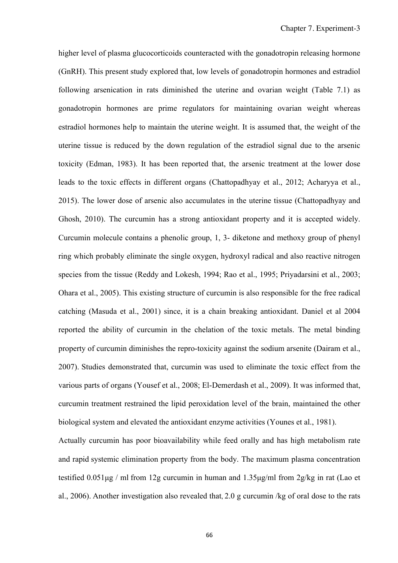higher level of plasma glucocorticoids counteracted with the gonadotropin releasing hormone (GnRH). This present study explored that, low levels of gonadotropin hormones and estradiol following arsenication in rats diminished the uterine and ovarian weight (Table 7.1) as gonadotropin hormones are prime regulators for maintaining ovarian weight whereas estradiol hormones help to maintain the uterine weight. It is assumed that, the weight of the uterine tissue is reduced by the down regulation of the estradiol signal due to the arsenic toxicity (Edman, 1983). It has been reported that, the arsenic treatment at the lower dose leads to the toxic effects in different organs (Chattopadhyay et al., 2012; Acharyya et al., 2015). The lower dose of arsenic also accumulates in the uterine tissue (Chattopadhyay and Ghosh, 2010). The curcumin has a strong antioxidant property and it is accepted widely. Curcumin molecule contains a phenolic group, 1, 3- diketone and methoxy group of phenyl ring which probably eliminate the single oxygen, hydroxyl radical and also reactive nitrogen species from the tissue (Reddy and Lokesh, 1994; Rao et al., 1995; Priyadarsini et al., 2003; Ohara et al., 2005). This existing structure of curcumin is also responsible for the free radical catching (Masuda et al., 2001) since, it is a chain breaking antioxidant. Daniel et al 2004 reported the ability of curcumin in the chelation of the toxic metals. The metal binding property of curcumin diminishes the repro-toxicity against the sodium arsenite (Dairam et al., 2007). Studies demonstrated that, curcumin was used to eliminate the toxic effect from the various parts of organs (Yousef et al., 2008; El-Demerdash et al., 2009). It was informed that, curcumin treatment restrained the lipid peroxidation level of the brain, maintained the other biological system and elevated the antioxidant enzyme activities (Younes et al., 1981).

Actually curcumin has poor bioavailability while feed orally and has high metabolism rate and rapid systemic elimination property from the body. The maximum plasma concentration testified 0.051μg / ml from 12g curcumin in human and 1.35μg/ml from 2g/kg in rat (Lao et al., 2006). Another investigation also revealed that, 2.0 g curcumin /kg of oral dose to the rats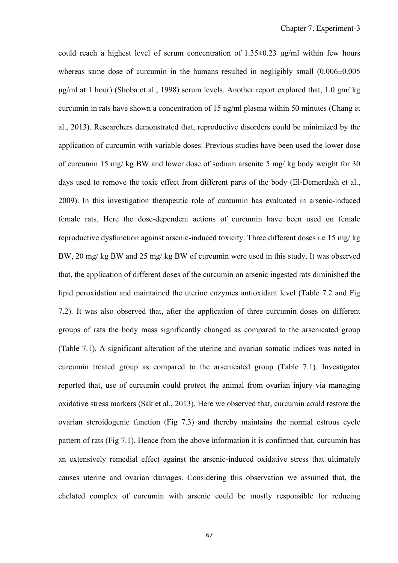could reach a highest level of serum concentration of  $1.35\pm0.23$  μg/ml within few hours whereas same dose of curcumin in the humans resulted in negligibly small  $(0.006\pm0.005$ μg/ml at 1 hour) (Shoba et al., 1998) serum levels. Another report explored that, 1.0 gm/ kg curcumin in rats have shown a concentration of 15 ng/ml plasma within 50 minutes (Chang et al., 2013). Researchers demonstrated that, reproductive disorders could be minimized by the application of curcumin with variable doses. Previous studies have been used the lower dose of curcumin 15 mg/ kg BW and lower dose of sodium arsenite 5 mg/ kg body weight for 30 days used to remove the toxic effect from different parts of the body (El-Demerdash et al., 2009). In this investigation therapeutic role of curcumin has evaluated in arsenic-induced female rats. Here the dose-dependent actions of curcumin have been used on female reproductive dysfunction against arsenic-induced toxicity. Three different doses i.e 15 mg/ kg BW, 20 mg/ kg BW and 25 mg/ kg BW of curcumin were used in this study. It was observed that, the application of different doses of the curcumin on arsenic ingested rats diminished the lipid peroxidation and maintained the uterine enzymes antioxidant level (Table 7.2 and Fig 7.2). It was also observed that, after the application of three curcumin doses on different groups of rats the body mass significantly changed as compared to the arsenicated group (Table 7.1). A significant alteration of the uterine and ovarian somatic indices was noted in curcumin treated group as compared to the arsenicated group (Table 7.1). Investigator reported that, use of curcumin could protect the animal from ovarian injury via managing oxidative stress markers (Sak et al., 2013). Here we observed that, curcumin could restore the ovarian steroidogenic function (Fig 7.3) and thereby maintains the normal estrous cycle pattern of rats (Fig 7.1). Hence from the above information it is confirmed that, curcumin has an extensively remedial effect against the arsenic-induced oxidative stress that ultimately causes uterine and ovarian damages. Considering this observation we assumed that, the chelated complex of curcumin with arsenic could be mostly responsible for reducing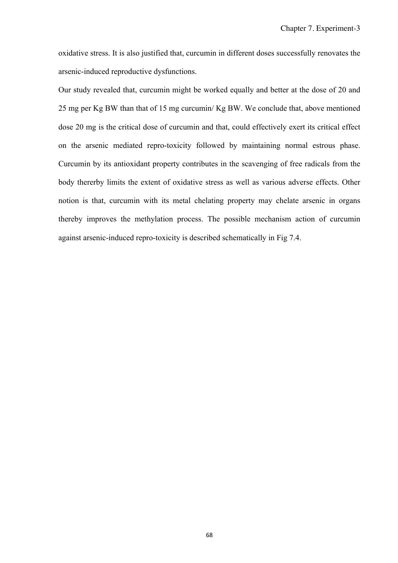oxidative stress. It is also justified that, curcumin in different doses successfully renovates the arsenic-induced reproductive dysfunctions.

Our study revealed that, curcumin might be worked equally and better at the dose of 20 and 25 mg per Kg BW than that of 15 mg curcumin/ Kg BW. We conclude that, above mentioned dose 20 mg is the critical dose of curcumin and that, could effectively exert its critical effect on the arsenic mediated repro-toxicity followed by maintaining normal estrous phase. Curcumin by its antioxidant property contributes in the scavenging of free radicals from the body thererby limits the extent of oxidative stress as well as various adverse effects. Other notion is that, curcumin with its metal chelating property may chelate arsenic in organs thereby improves the methylation process. The possible mechanism action of curcumin against arsenic-induced repro-toxicity is described schematically in Fig 7.4.